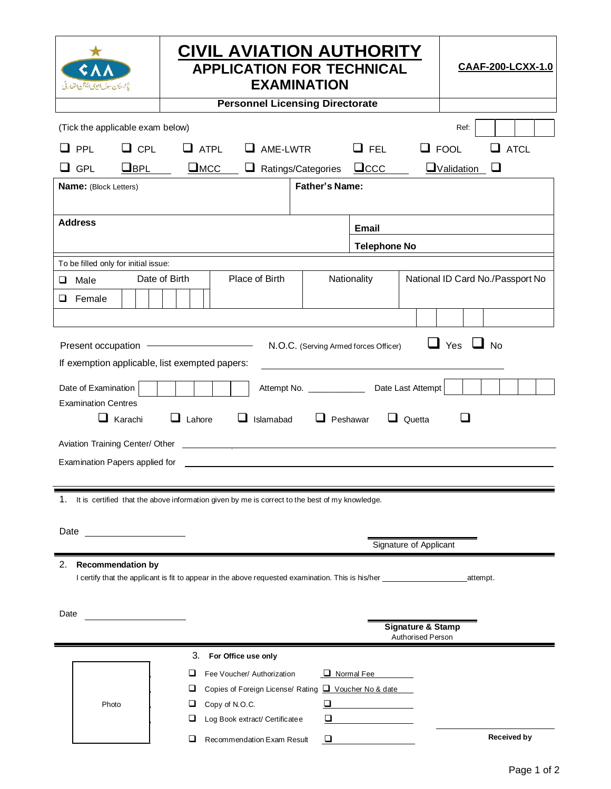| يآبستان بيول ايوى ايشن اخفارقى                                                                                                                                                                                                                                                                                                                                                                                                                                                                                                                         |            | <b>CIVIL AVIATION AUTHORITY</b><br><b>APPLICATION FOR TECHNICAL</b><br><b>EXAMINATION</b> |                                |          |                                                     |                                                                                                                        |  | CAAF-200-LCXX-1.0 |                    |
|--------------------------------------------------------------------------------------------------------------------------------------------------------------------------------------------------------------------------------------------------------------------------------------------------------------------------------------------------------------------------------------------------------------------------------------------------------------------------------------------------------------------------------------------------------|------------|-------------------------------------------------------------------------------------------|--------------------------------|----------|-----------------------------------------------------|------------------------------------------------------------------------------------------------------------------------|--|-------------------|--------------------|
| <b>Personnel Licensing Directorate</b>                                                                                                                                                                                                                                                                                                                                                                                                                                                                                                                 |            |                                                                                           |                                |          |                                                     |                                                                                                                        |  |                   |                    |
| (Tick the applicable exam below)<br>Ref:                                                                                                                                                                                                                                                                                                                                                                                                                                                                                                               |            |                                                                                           |                                |          |                                                     |                                                                                                                        |  |                   |                    |
| PPL                                                                                                                                                                                                                                                                                                                                                                                                                                                                                                                                                    | $\Box$ CPL | $\Box$ ATPL                                                                               | ⊔                              | AME-LWTR |                                                     | $\Box$ FEL                                                                                                             |  | $\Box$ FOOL       | $\square$ atcl     |
| $\sqcup$ GPL                                                                                                                                                                                                                                                                                                                                                                                                                                                                                                                                           | $\Box$ BPL | $\square$ MCC                                                                             | ⊔                              |          | Ratings/Categories                                  | $\Box$ ccc                                                                                                             |  | $\Box$ Validation | ⊔                  |
| <b>Father's Name:</b><br>Name: (Block Letters)                                                                                                                                                                                                                                                                                                                                                                                                                                                                                                         |            |                                                                                           |                                |          |                                                     |                                                                                                                        |  |                   |                    |
|                                                                                                                                                                                                                                                                                                                                                                                                                                                                                                                                                        |            |                                                                                           |                                |          |                                                     |                                                                                                                        |  |                   |                    |
| <b>Address</b>                                                                                                                                                                                                                                                                                                                                                                                                                                                                                                                                         |            |                                                                                           |                                |          |                                                     | <b>Email</b>                                                                                                           |  |                   |                    |
|                                                                                                                                                                                                                                                                                                                                                                                                                                                                                                                                                        |            |                                                                                           |                                |          | <b>Telephone No</b>                                 |                                                                                                                        |  |                   |                    |
| To be filled only for initial issue:                                                                                                                                                                                                                                                                                                                                                                                                                                                                                                                   |            |                                                                                           |                                |          |                                                     |                                                                                                                        |  |                   |                    |
| Date of Birth<br>Place of Birth<br>Male<br>⊔                                                                                                                                                                                                                                                                                                                                                                                                                                                                                                           |            |                                                                                           |                                |          |                                                     | Nationality<br>National ID Card No./Passport No                                                                        |  |                   |                    |
| ❏<br>Female                                                                                                                                                                                                                                                                                                                                                                                                                                                                                                                                            |            |                                                                                           |                                |          |                                                     |                                                                                                                        |  |                   |                    |
|                                                                                                                                                                                                                                                                                                                                                                                                                                                                                                                                                        |            |                                                                                           |                                |          |                                                     |                                                                                                                        |  |                   |                    |
| $\Box$ Yes $\Box$ No<br>N.O.C. (Serving Armed forces Officer)<br>If exemption applicable, list exempted papers:<br>Attempt No. ____________<br>Date Last Attempt<br>Date of Examination<br><b>Examination Centres</b><br>$\Box$ Lahore<br>$\Box$ Karachi<br>Islamabad<br>$\Box$ Peshawar<br>$\Box$ Quetta<br>Aviation Training Center/ Other<br><u> 1989 - Johann Stein, mars an de Britannich (b. 1989)</u><br>Examination Papers applied for<br>1.<br>It is certified that the above information given by me is correct to the best of my knowledge. |            |                                                                                           |                                |          |                                                     |                                                                                                                        |  |                   |                    |
| Date<br>Signature of Applicant                                                                                                                                                                                                                                                                                                                                                                                                                                                                                                                         |            |                                                                                           |                                |          |                                                     |                                                                                                                        |  |                   |                    |
| 2. Recommendation by<br>I certify that the applicant is fit to appear in the above requested examination. This is his/her<br>attempt.                                                                                                                                                                                                                                                                                                                                                                                                                  |            |                                                                                           |                                |          |                                                     |                                                                                                                        |  |                   |                    |
| Date                                                                                                                                                                                                                                                                                                                                                                                                                                                                                                                                                   |            |                                                                                           |                                |          |                                                     | <b>Signature &amp; Stamp</b><br><b>Authorised Person</b>                                                               |  |                   |                    |
|                                                                                                                                                                                                                                                                                                                                                                                                                                                                                                                                                        |            | 3.                                                                                        | For Office use only            |          |                                                     |                                                                                                                        |  |                   |                    |
|                                                                                                                                                                                                                                                                                                                                                                                                                                                                                                                                                        |            | ப                                                                                         | Fee Voucher/ Authorization     |          |                                                     | Normal Fee                                                                                                             |  |                   |                    |
|                                                                                                                                                                                                                                                                                                                                                                                                                                                                                                                                                        |            |                                                                                           |                                |          | Copies of Foreign License/ Rating Voucher No & date |                                                                                                                        |  |                   |                    |
|                                                                                                                                                                                                                                                                                                                                                                                                                                                                                                                                                        | Photo      |                                                                                           | Copy of N.O.C.                 |          | ⊔                                                   |                                                                                                                        |  |                   |                    |
|                                                                                                                                                                                                                                                                                                                                                                                                                                                                                                                                                        |            |                                                                                           | Log Book extract/ Certificatee |          | u                                                   | <u> a serie de la propincia de la propincia de la propincia de la propincia de la propincia de la propincia de la </u> |  |                   |                    |
|                                                                                                                                                                                                                                                                                                                                                                                                                                                                                                                                                        |            | ш                                                                                         | Recommendation Exam Result     |          | ⊔                                                   |                                                                                                                        |  |                   | <b>Received by</b> |